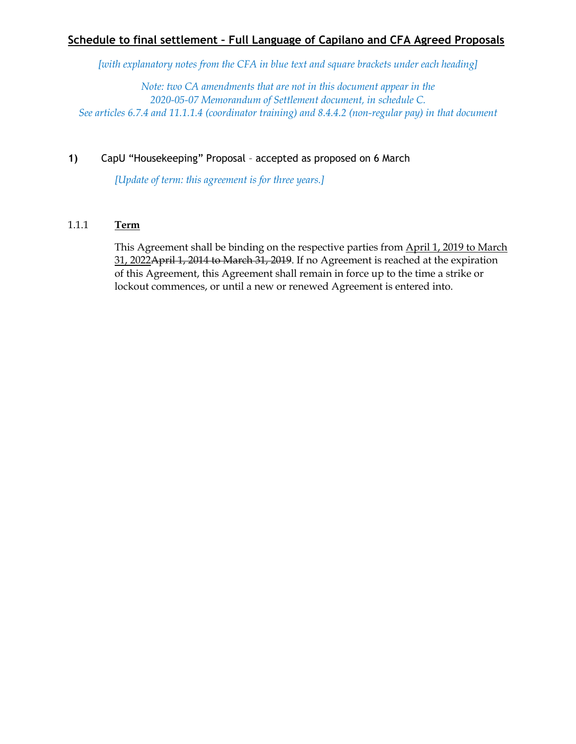# **Schedule to final settlement – Full Language of Capilano and CFA Agreed Proposals**

*[with explanatory notes from the CFA in blue text and square brackets under each heading]*

*Note: two CA amendments that are not in this document appear in the 2020-05-07 Memorandum of Settlement document, in schedule C. See articles 6.7.4 and 11.1.1.4 (coordinator training) and 8.4.4.2 (non-regular pay) in that document*

## **1)** CapU "Housekeeping" Proposal – accepted as proposed on 6 March

*[Update of term: this agreement is for three years.]*

### 1.1.1 **Term**

This Agreement shall be binding on the respective parties from April 1, 2019 to March 31, 2022April 1, 2014 to March 31, 2019. If no Agreement is reached at the expiration of this Agreement, this Agreement shall remain in force up to the time a strike or lockout commences, or until a new or renewed Agreement is entered into.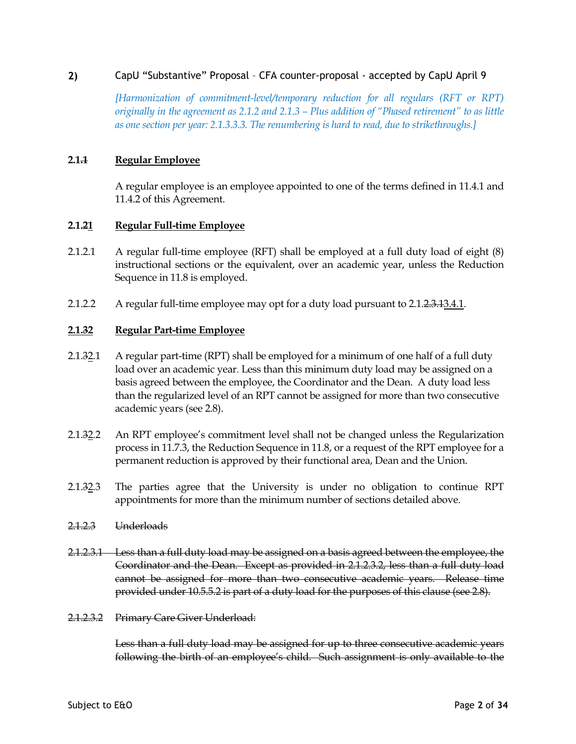## **2)** CapU "Substantive" Proposal – CFA counter-proposal - accepted by CapU April 9

*[Harmonization of commitment-level/temporary reduction for all regulars (RFT or RPT) originally in the agreement as 2.1.2 and 2.1.3 – Plus addition of "Phased retirement" to as little as one section per year: 2.1.3.3.3. The renumbering is hard to read, due to strikethroughs.]*

## **2.1.1 Regular Employee**

A regular employee is an employee appointed to one of the terms defined in 11.4.1 and 11.4.2 of this Agreement.

### **2.1.21 Regular Full-time Employee**

- 2.1.2.1 A regular full-time employee (RFT) shall be employed at a full duty load of eight (8) instructional sections or the equivalent, over an academic year, unless the Reduction Sequence in 11.8 is employed.
- 2.1.2.2 A regular full-time employee may opt for a duty load pursuant to 2.1.2.3.43.4.1.

### **2.1.32 Regular Part-time Employee**

- 2.1.32.1 A regular part-time (RPT) shall be employed for a minimum of one half of a full duty load over an academic year. Less than this minimum duty load may be assigned on a basis agreed between the employee, the Coordinator and the Dean. A duty load less than the regularized level of an RPT cannot be assigned for more than two consecutive academic years (see 2.8).
- 2.1.32.2 An RPT employee's commitment level shall not be changed unless the Regularization process in 11.7.3, the Reduction Sequence in 11.8, or a request of the RPT employee for a permanent reduction is approved by their functional area, Dean and the Union.
- 2.1.32.3 The parties agree that the University is under no obligation to continue RPT appointments for more than the minimum number of sections detailed above.
- 2.1.2.3 Underloads
- 2.1.2.3.1 Less than a full duty load may be assigned on a basis agreed between the employee, the Coordinator and the Dean. Except as provided in 2.1.2.3.2, less than a full duty load cannot be assigned for more than two consecutive academic years. Release time provided under 10.5.5.2 is part of a duty load for the purposes of this clause (see 2.8).
- 2.1.2.3.2 Primary Care Giver Underload:

Less than a full duty load may be assigned for up to three consecutive academic years following the birth of an employee's child. Such assignment is only available to the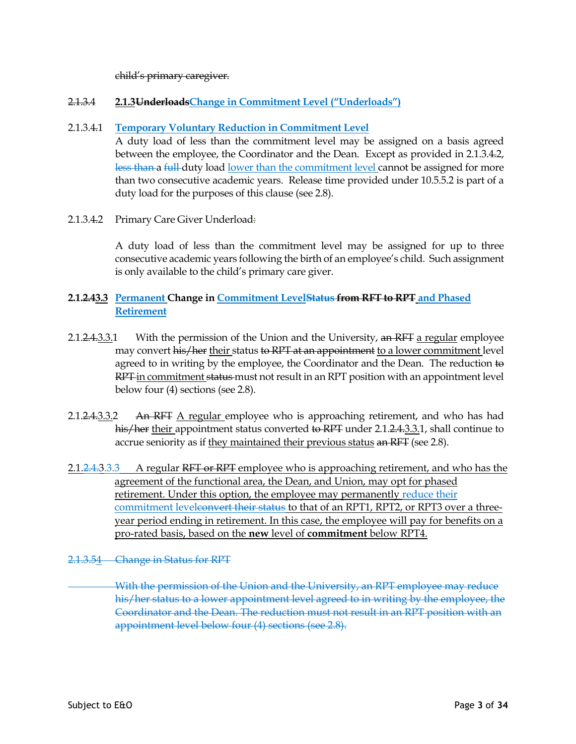child's primary caregiver.

## 2.1.3.4 **2.1.3UnderloadsChange in Commitment Level ("Underloads")**

## 2.1.3.4.1 **Temporary Voluntary Reduction in Commitment Level**

A duty load of less than the commitment level may be assigned on a basis agreed between the employee, the Coordinator and the Dean. Except as provided in 2.1.3.4.2, less than a full duty load lower than the commitment level cannot be assigned for more than two consecutive academic years. Release time provided under 10.5.5.2 is part of a duty load for the purposes of this clause (see 2.8).

2.1.3.4.2 Primary Care Giver Underload:

A duty load of less than the commitment level may be assigned for up to three consecutive academic years following the birth of an employee's child. Such assignment is only available to the child's primary care giver.

## **2.1.2.43.3 Permanent Change in Commitment LevelStatus from RFT to RPT and Phased Retirement**

- 2.1.2.4.3.3.1 With the permission of the Union and the University, an RFT a regular employee may convert his/her their status to RPT at an appointment to a lower commitment level agreed to in writing by the employee, the Coordinator and the Dean. The reduction to RPT in commitment status must not result in an RPT position with an appointment level below four (4) sections (see 2.8).
- 2.1.2.4.3.3.2 An RFT A regular employee who is approaching retirement, and who has had his/her their appointment status converted to RPT under 2.1.2.4.3.3.1, shall continue to accrue seniority as if they maintained their previous status an RFT (see 2.8).
- 2.1.2.4.3.3.3 A regular RFT or RPT employee who is approaching retirement, and who has the agreement of the functional area, the Dean, and Union, may opt for phased retirement. Under this option, the employee may permanently reduce their commitment leveleonvert their status to that of an RPT1, RPT2, or RPT3 over a threeyear period ending in retirement. In this case, the employee will pay for benefits on a pro-rated basis, based on the **new** level of **commitment** below RPT4.
- 2.1.3.54 Change in Status for RPT

With the permission of the Union and the University, an RPT employee may reduce his/her status to a lower appointment level agreed to in writing by the employee, the Coordinator and the Dean. The reduction must not result in an RPT position with an appointment level below four (4) sections (see 2.8).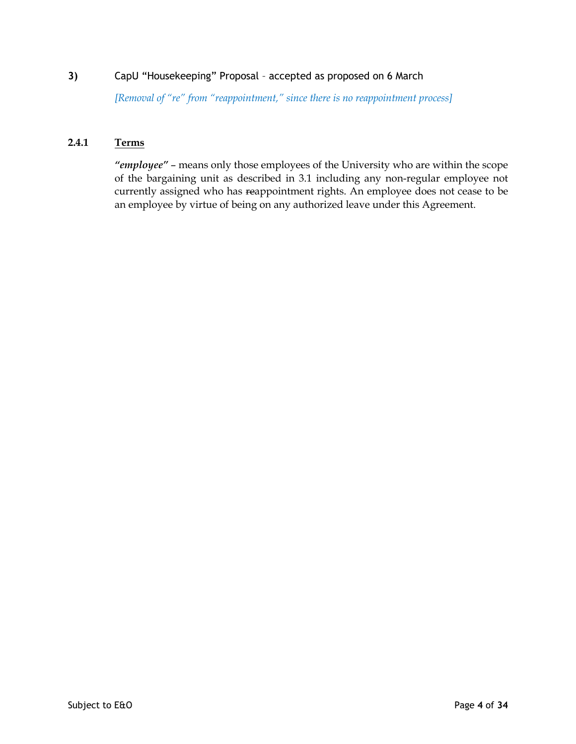*[Removal of "re" from "reappointment," since there is no reappointment process]*

# **2.4.1 Terms**

*"employee"* – means only those employees of the University who are within the scope of the bargaining unit as described in 3.1 including any non-regular employee not currently assigned who has reappointment rights. An employee does not cease to be an employee by virtue of being on any authorized leave under this Agreement.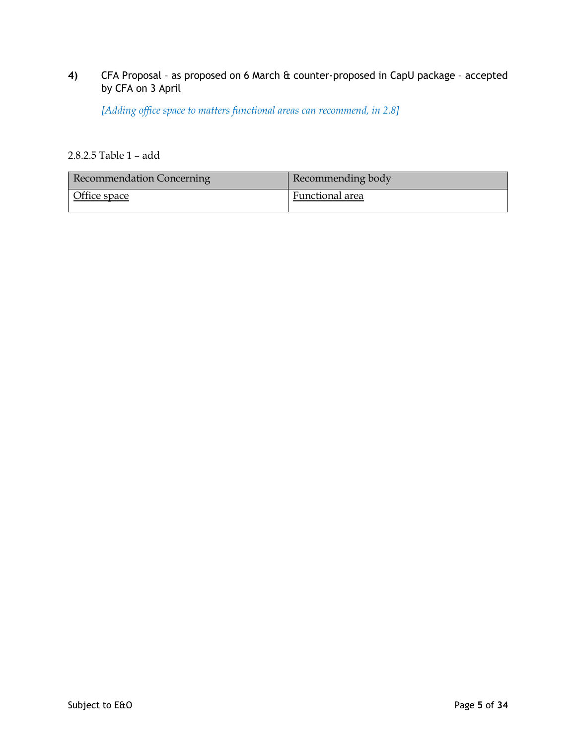# **4)** CFA Proposal – as proposed on 6 March & counter-proposed in CapU package – accepted by CFA on 3 April

*[Adding office space to matters functional areas can recommend, in 2.8]*

# 2.8.2.5 Table 1 – add

| <b>Recommendation Concerning</b> | Recommending body |
|----------------------------------|-------------------|
| Office space                     | Functional area   |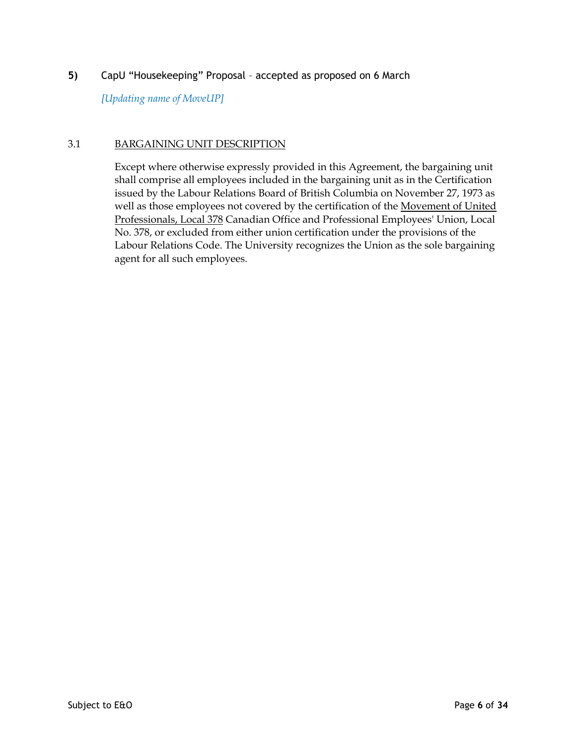*[Updating name of MoveUP]*

## 3.1 BARGAINING UNIT DESCRIPTION

Except where otherwise expressly provided in this Agreement, the bargaining unit shall comprise all employees included in the bargaining unit as in the Certification issued by the Labour Relations Board of British Columbia on November 27, 1973 as well as those employees not covered by the certification of the Movement of United Professionals, Local 378 Canadian Office and Professional Employees' Union, Local No. 378, or excluded from either union certification under the provisions of the Labour Relations Code. The University recognizes the Union as the sole bargaining agent for all such employees.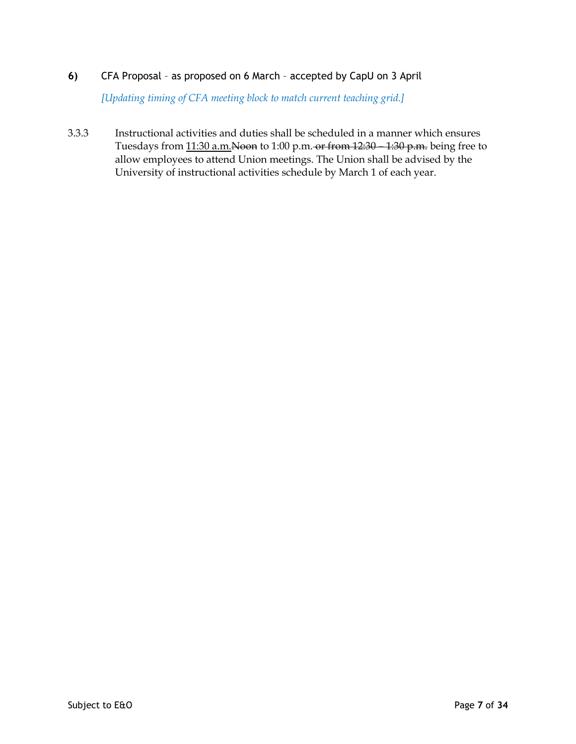# **6)** CFA Proposal – as proposed on 6 March – accepted by CapU on 3 April

*[Updating timing of CFA meeting block to match current teaching grid.]*

3.3.3 Instructional activities and duties shall be scheduled in a manner which ensures Tuesdays from 11:30 a.m.Noon to 1:00 p.m. or from 12:30 – 1:30 p.m. being free to allow employees to attend Union meetings. The Union shall be advised by the University of instructional activities schedule by March 1 of each year.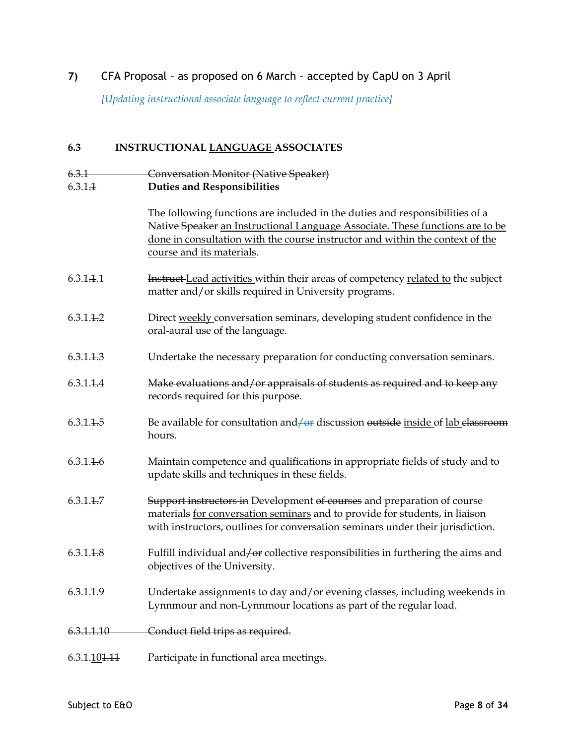# **7)** CFA Proposal – as proposed on 6 March – accepted by CapU on 3 April

*[Updating instructional associate language to reflect current practice]*

# **6.3 INSTRUCTIONAL LANGUAGE ASSOCIATES**

| 6.3.1                    | <b>Conversation Monitor (Native Speaker)</b>                                                                                                                                                                                                                                |
|--------------------------|-----------------------------------------------------------------------------------------------------------------------------------------------------------------------------------------------------------------------------------------------------------------------------|
| 6.3.1.1                  | <b>Duties and Responsibilities</b>                                                                                                                                                                                                                                          |
|                          | The following functions are included in the duties and responsibilities of a<br>Native Speaker an Instructional Language Associate. These functions are to be<br>done in consultation with the course instructor and within the context of the<br>course and its materials. |
| 6.3.1.1.1                | <b>Instruct</b> Lead activities within their areas of competency related to the subject<br>matter and/or skills required in University programs.                                                                                                                            |
| 6.3.1.1.2                | Direct weekly conversation seminars, developing student confidence in the<br>oral-aural use of the language.                                                                                                                                                                |
| 6.3.1.1.3                | Undertake the necessary preparation for conducting conversation seminars.                                                                                                                                                                                                   |
| 6.3.1.4.4                | Make evaluations and/or appraisals of students as required and to keep any<br>records required for this purpose.                                                                                                                                                            |
| 6.3.1.1.5                | Be available for consultation and $\theta$ discussion outside inside of lab elassroom<br>hours.                                                                                                                                                                             |
| 6.3.1.4.6                | Maintain competence and qualifications in appropriate fields of study and to<br>update skills and techniques in these fields.                                                                                                                                               |
| 6.3.1.4.7                | Support instructors in Development of courses and preparation of course<br>materials for conversation seminars and to provide for students, in liaison<br>with instructors, outlines for conversation seminars under their jurisdiction.                                    |
| 6.3.1.1.8                | Fulfill individual and for collective responsibilities in furthering the aims and<br>objectives of the University.                                                                                                                                                          |
| 6.3.1.1.9                | Undertake assignments to day and/or evening classes, including weekends in<br>Lynnmour and non-Lynnmour locations as part of the regular load.                                                                                                                              |
| 6.3.1.1.10               | Conduct field trips as required.                                                                                                                                                                                                                                            |
| 6.3.1.10 <del>1.11</del> | Participate in functional area meetings.                                                                                                                                                                                                                                    |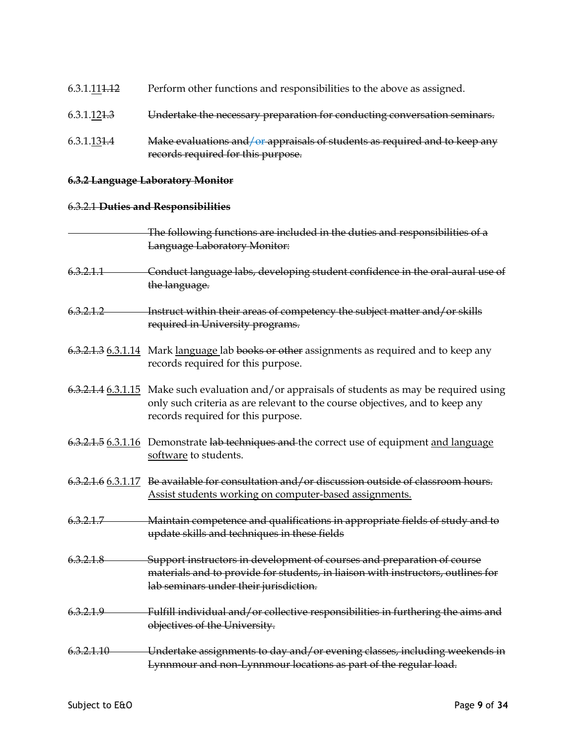- 6.3.1.111.12 Perform other functions and responsibilities to the above as assigned.
- 6.3.1.121.3 Undertake the necessary preparation for conducting conversation seminars.
- $6.3.1.131.4$  Make evaluations and/or appraisals of students as required and to keep any records required for this purpose.

### **6.3.2 Language Laboratory Monitor**

## 6.3.2.1 **Duties and Responsibilities**

|            | The following functions are included in the duties and responsibilities of a<br><b>Language Laboratory Monitor:</b>                                                                                                  |
|------------|----------------------------------------------------------------------------------------------------------------------------------------------------------------------------------------------------------------------|
| 6.3.2.1.1  | Conduct language labs, developing student confidence in the oral-aural use of<br>the language.                                                                                                                       |
| 6.3.2.1.2  | Instruct within their areas of competency the subject matter and/or skills<br>required in University programs.                                                                                                       |
|            | 6.3.2.1.3 6.3.1.14 Mark language lab books or other assignments as required and to keep any<br>records required for this purpose.                                                                                    |
|            | 6.3.2.1.4 6.3.1.15 Make such evaluation and/or appraisals of students as may be required using<br>only such criteria as are relevant to the course objectives, and to keep any<br>records required for this purpose. |
|            | 6.3.2.1.5 6.3.1.16 Demonstrate lab techniques and the correct use of equipment and language<br>software to students.                                                                                                 |
|            | 6.3.2.1.6 6.3.1.17 Be available for consultation and/or discussion outside of classroom hours.<br>Assist students working on computer-based assignments.                                                             |
| 6.3.2.1.7  | Maintain competence and qualifications in appropriate fields of study and to<br>update skills and techniques in these fields                                                                                         |
| 6.3.2.1.8  | Support instructors in development of courses and preparation of course<br>materials and to provide for students, in liaison with instructors, outlines for<br>lab seminars under their jurisdiction.                |
| 6.3.2.1.9  | Fulfill individual and/or collective responsibilities in furthering the aims and<br>objectives of the University.                                                                                                    |
| 6.3.2.1.10 | Undertake assignments to day and/or evening classes, including weekends in<br>Lynnmour and non-Lynnmour locations as part of the regular load.                                                                       |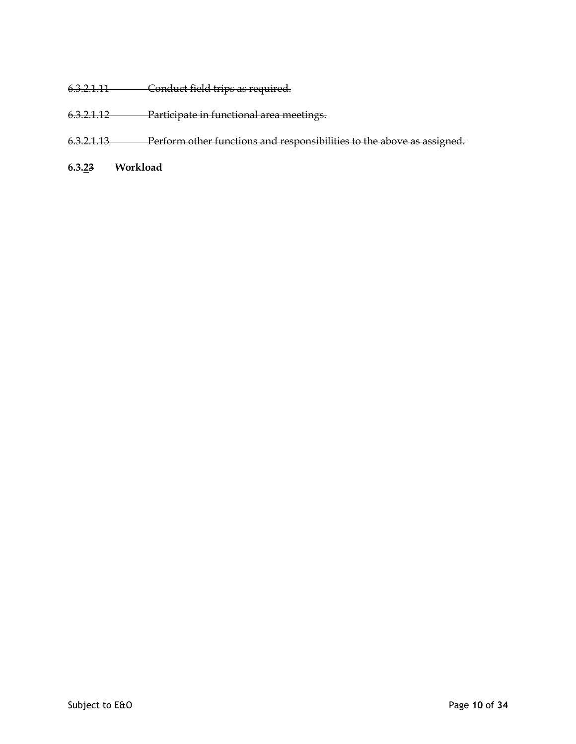- 6.3.2.1.11 Conduct field trips as required.
- 6.3.2.1.12 Participate in functional area meetings.
- 6.3.2.1.13 Perform other functions and responsibilities to the above as assigned.
- **6.3.23 Workload**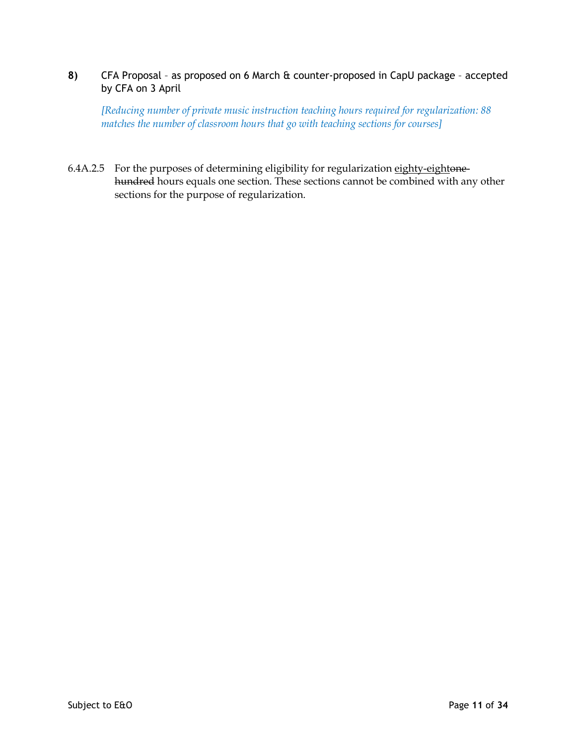# **8)** CFA Proposal – as proposed on 6 March & counter-proposed in CapU package – accepted by CFA on 3 April

*[Reducing number of private music instruction teaching hours required for regularization: 88 matches the number of classroom hours that go with teaching sections for courses]*

6.4A.2.5 For the purposes of determining eligibility for regularization eighty-eightonehundred hours equals one section. These sections cannot be combined with any other sections for the purpose of regularization.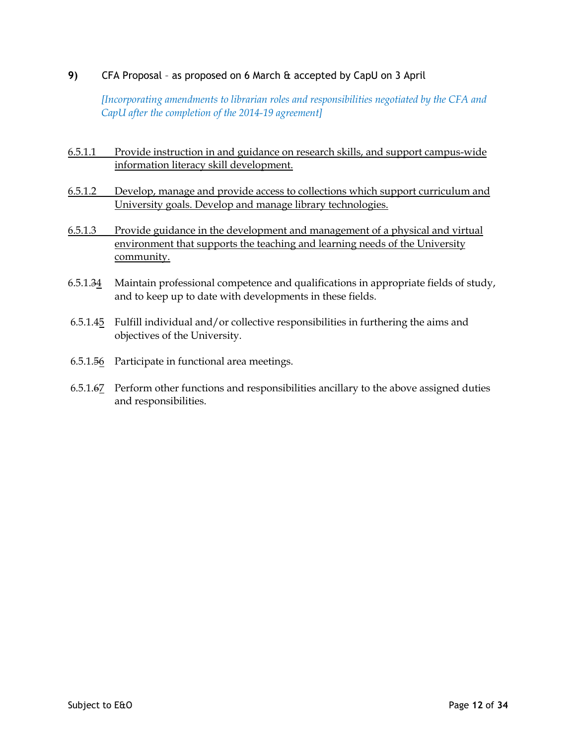# **9)** CFA Proposal – as proposed on 6 March & accepted by CapU on 3 April

*[Incorporating amendments to librarian roles and responsibilities negotiated by the CFA and CapU after the completion of the 2014-19 agreement]*

- 6.5.1.1 Provide instruction in and guidance on research skills, and support campus-wide information literacy skill development.
- 6.5.1.2 Develop, manage and provide access to collections which support curriculum and University goals. Develop and manage library technologies.
- 6.5.1.3 Provide guidance in the development and management of a physical and virtual environment that supports the teaching and learning needs of the University community.
- 6.5.1.34 Maintain professional competence and qualifications in appropriate fields of study, and to keep up to date with developments in these fields.
- 6.5.1.45 Fulfill individual and/or collective responsibilities in furthering the aims and objectives of the University.
- 6.5.1.56 Participate in functional area meetings.
- 6.5.1.67 Perform other functions and responsibilities ancillary to the above assigned duties and responsibilities.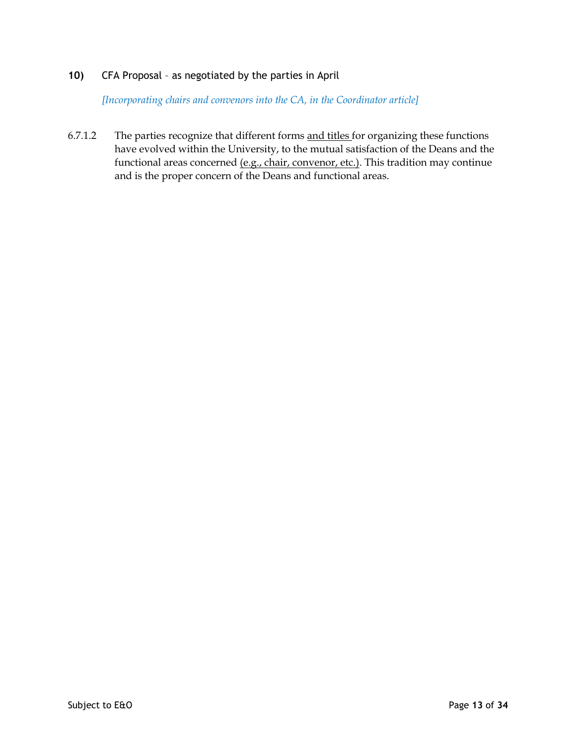# **10)** CFA Proposal – as negotiated by the parties in April

*[Incorporating chairs and convenors into the CA, in the Coordinator article]*

6.7.1.2 The parties recognize that different forms and titles for organizing these functions have evolved within the University, to the mutual satisfaction of the Deans and the functional areas concerned (e.g., chair, convenor, etc.). This tradition may continue and is the proper concern of the Deans and functional areas.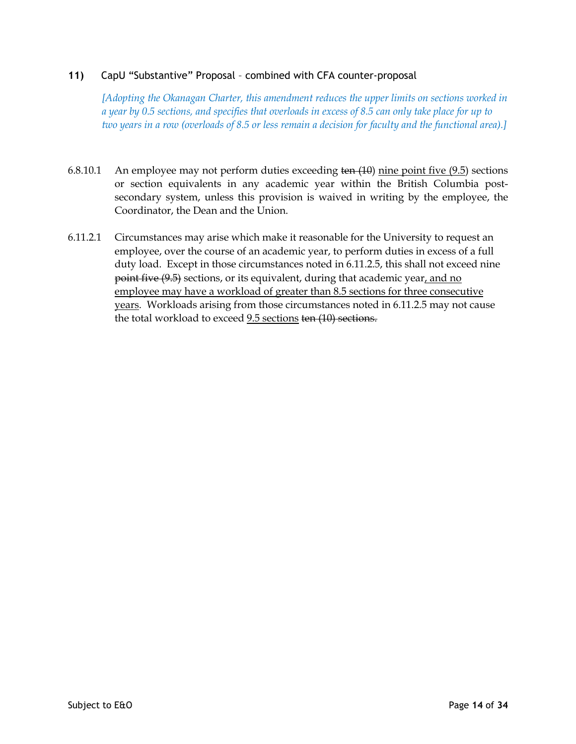## **11)** CapU "Substantive" Proposal – combined with CFA counter-proposal

*[Adopting the Okanagan Charter, this amendment reduces the upper limits on sections worked in a year by 0.5 sections, and specifies that overloads in excess of 8.5 can only take place for up to two years in a row (overloads of 8.5 or less remain a decision for faculty and the functional area).]*

- 6.8.10.1 An employee may not perform duties exceeding ten  $(10)$  nine point five  $(9.5)$  sections or section equivalents in any academic year within the British Columbia postsecondary system, unless this provision is waived in writing by the employee, the Coordinator, the Dean and the Union.
- 6.11.2.1 Circumstances may arise which make it reasonable for the University to request an employee, over the course of an academic year, to perform duties in excess of a full duty load. Except in those circumstances noted in 6.11.2.5, this shall not exceed nine point five (9.5) sections, or its equivalent, during that academic year, and no employee may have a workload of greater than 8.5 sections for three consecutive years. Workloads arising from those circumstances noted in 6.11.2.5 may not cause the total workload to exceed 9.5 sections ten (10) sections.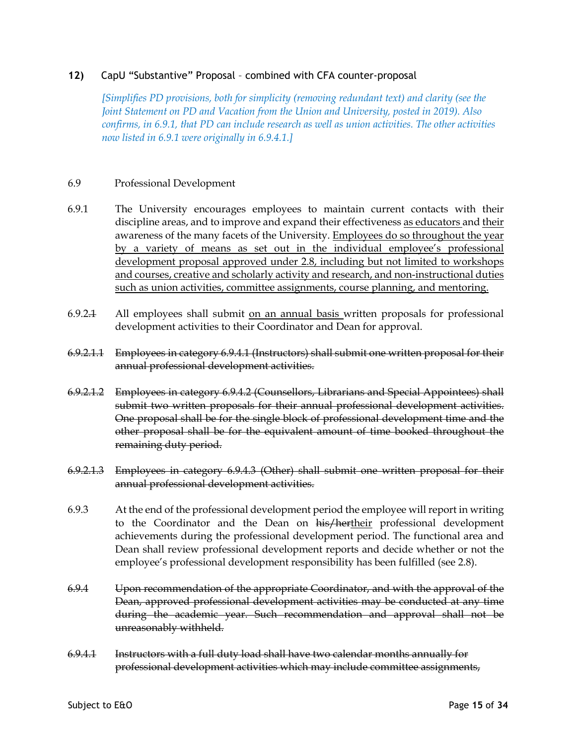## **12)** CapU "Substantive" Proposal – combined with CFA counter-proposal

*[Simplifies PD provisions, both for simplicity (removing redundant text) and clarity (see the Joint Statement on PD and Vacation from the Union and University, posted in 2019). Also confirms, in 6.9.1, that PD can include research as well as union activities. The other activities now listed in 6.9.1 were originally in 6.9.4.1.]*

#### 6.9 Professional Development

- 6.9.1 The University encourages employees to maintain current contacts with their discipline areas, and to improve and expand their effectiveness as educators and their awareness of the many facets of the University. Employees do so throughout the year by a variety of means as set out in the individual employee's professional development proposal approved under 2.8, including but not limited to workshops and courses, creative and scholarly activity and research, and non-instructional duties such as union activities, committee assignments, course planning, and mentoring.
- 6.9.2.1 All employees shall submit on an annual basis written proposals for professional development activities to their Coordinator and Dean for approval.
- 6.9.2.1.1 Employees in category 6.9.4.1 (Instructors) shall submit one written proposal for their annual professional development activities.
- 6.9.2.1.2 Employees in category 6.9.4.2 (Counsellors, Librarians and Special Appointees) shall submit two written proposals for their annual professional development activities. One proposal shall be for the single block of professional development time and the other proposal shall be for the equivalent amount of time booked throughout the remaining duty period.
- 6.9.2.1.3 Employees in category 6.9.4.3 (Other) shall submit one written proposal for their annual professional development activities.
- 6.9.3 At the end of the professional development period the employee will report in writing to the Coordinator and the Dean on his/hertheir professional development achievements during the professional development period. The functional area and Dean shall review professional development reports and decide whether or not the employee's professional development responsibility has been fulfilled (see 2.8).
- 6.9.4 Upon recommendation of the appropriate Coordinator, and with the approval of the Dean, approved professional development activities may be conducted at any time during the academic year. Such recommendation and approval shall not be unreasonably withheld.
- 6.9.4.1 Instructors with a full duty load shall have two calendar months annually for professional development activities which may include committee assignments,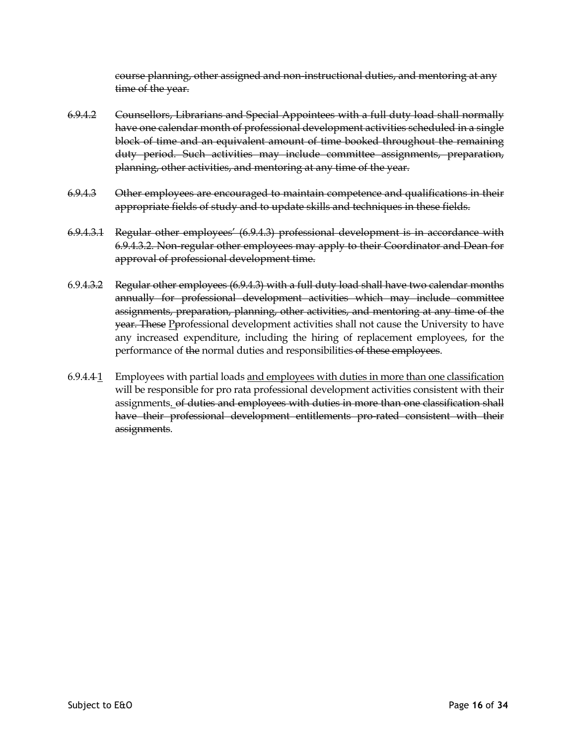course planning, other assigned and non-instructional duties, and mentoring at any time of the year.

- 6.9.4.2 Counsellors, Librarians and Special Appointees with a full duty load shall normally have one calendar month of professional development activities scheduled in a single block of time and an equivalent amount of time booked throughout the remaining duty period. Such activities may include committee assignments, preparation, planning, other activities, and mentoring at any time of the year.
- 6.9.4.3 Other employees are encouraged to maintain competence and qualifications in their appropriate fields of study and to update skills and techniques in these fields.
- 6.9.4.3.1 Regular other employees' (6.9.4.3) professional development is in accordance with 6.9.4.3.2. Non-regular other employees may apply to their Coordinator and Dean for approval of professional development time.
- 6.9.4.3.2 Regular other employees (6.9.4.3) with a full duty load shall have two calendar months annually for professional development activities which may include committee assignments, preparation, planning, other activities, and mentoring at any time of the year. These Pprofessional development activities shall not cause the University to have any increased expenditure, including the hiring of replacement employees, for the performance of the normal duties and responsibilities of these employees.
- 6.9.4.4 1 Employees with partial loads and employees with duties in more than one classification will be responsible for pro rata professional development activities consistent with their assignments. of duties and employees with duties in more than one classification shall have their professional development entitlements pro-rated consistent with their assignments.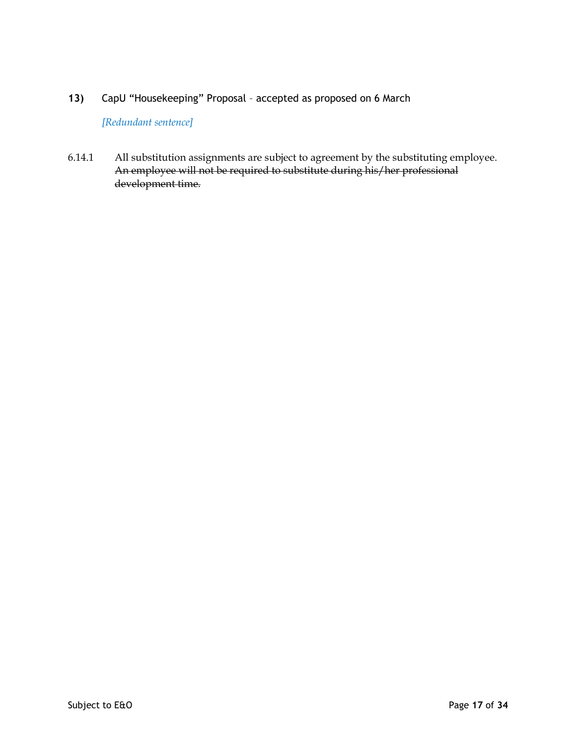*[Redundant sentence]*

6.14.1 All substitution assignments are subject to agreement by the substituting employee. An employee will not be required to substitute during his/her professional development time.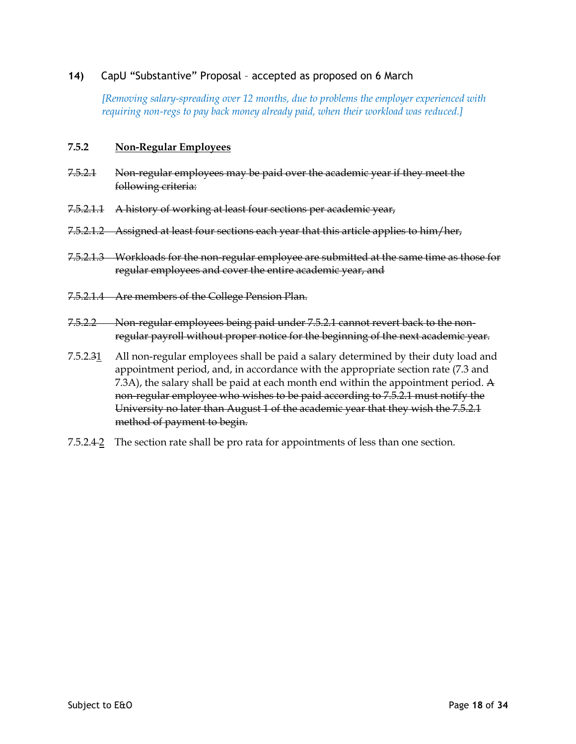# **14)** CapU "Substantive" Proposal – accepted as proposed on 6 March

*[Removing salary-spreading over 12 months, due to problems the employer experienced with requiring non-regs to pay back money already paid, when their workload was reduced.]*

#### **7.5.2 Non-Regular Employees**

- 7.5.2.1 Non-regular employees may be paid over the academic year if they meet the following criteria:
- 7.5.2.1.1 A history of working at least four sections per academic year,
- 7.5.2.1.2 Assigned at least four sections each year that this article applies to him/her,
- 7.5.2.1.3 Workloads for the non-regular employee are submitted at the same time as those for regular employees and cover the entire academic year, and
- 7.5.2.1.4 Are members of the College Pension Plan.
- 7.5.2.2 Non-regular employees being paid under 7.5.2.1 cannot revert back to the nonregular payroll without proper notice for the beginning of the next academic year.
- 7.5.2.31 All non-regular employees shall be paid a salary determined by their duty load and appointment period, and, in accordance with the appropriate section rate (7.3 and 7.3A), the salary shall be paid at each month end within the appointment period. A non-regular employee who wishes to be paid according to 7.5.2.1 must notify the University no later than August 1 of the academic year that they wish the 7.5.2.1 method of payment to begin.
- 7.5.2.4 2 The section rate shall be pro rata for appointments of less than one section.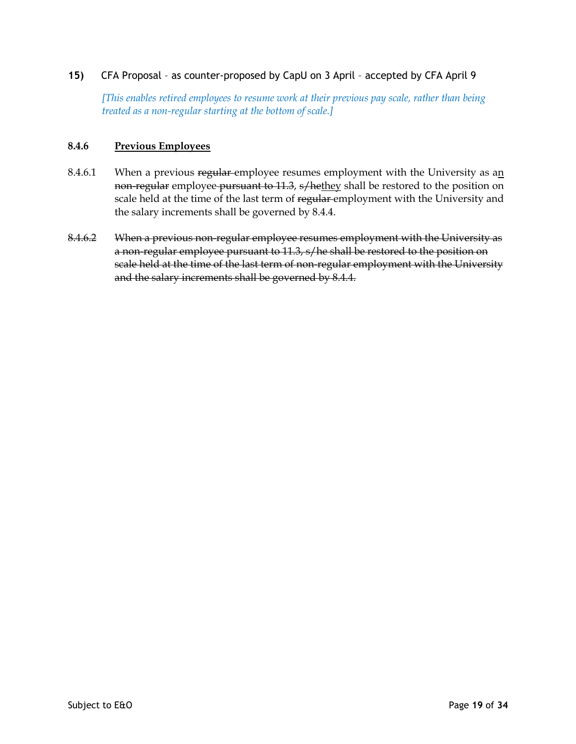# **15)** CFA Proposal – as counter-proposed by CapU on 3 April – accepted by CFA April 9

*[This enables retired employees to resume work at their previous pay scale, rather than being treated as a non-regular starting at the bottom of scale.]*

## **8.4.6 Previous Employees**

- 8.4.6.1 When a previous regular employee resumes employment with the University as an non-regular employee pursuant to 11.3, s/hethey shall be restored to the position on scale held at the time of the last term of regular employment with the University and the salary increments shall be governed by 8.4.4.
- 8.4.6.2 When a previous non-regular employee resumes employment with the University as a non-regular employee pursuant to 11.3, s/he shall be restored to the position on scale held at the time of the last term of non-regular employment with the University and the salary increments shall be governed by 8.4.4.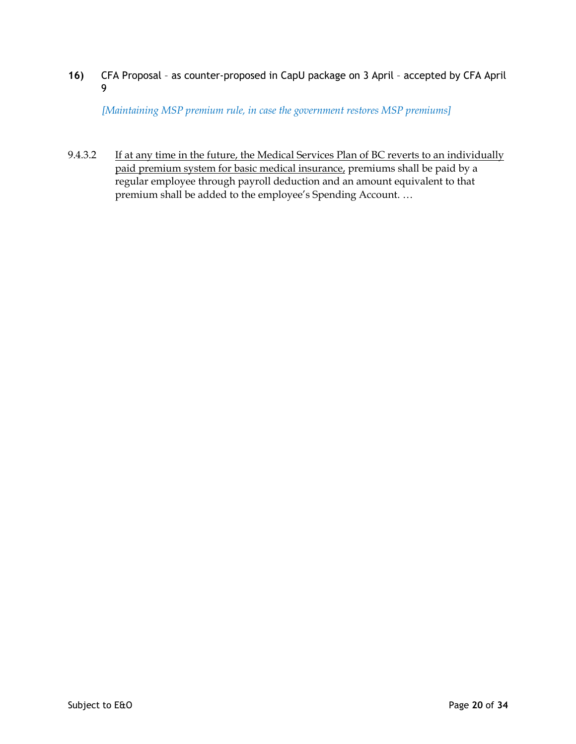**16)** CFA Proposal – as counter-proposed in CapU package on 3 April – accepted by CFA April 9

*[Maintaining MSP premium rule, in case the government restores MSP premiums]*

9.4.3.2 If at any time in the future, the Medical Services Plan of BC reverts to an individually paid premium system for basic medical insurance, premiums shall be paid by a regular employee through payroll deduction and an amount equivalent to that premium shall be added to the employee's Spending Account. …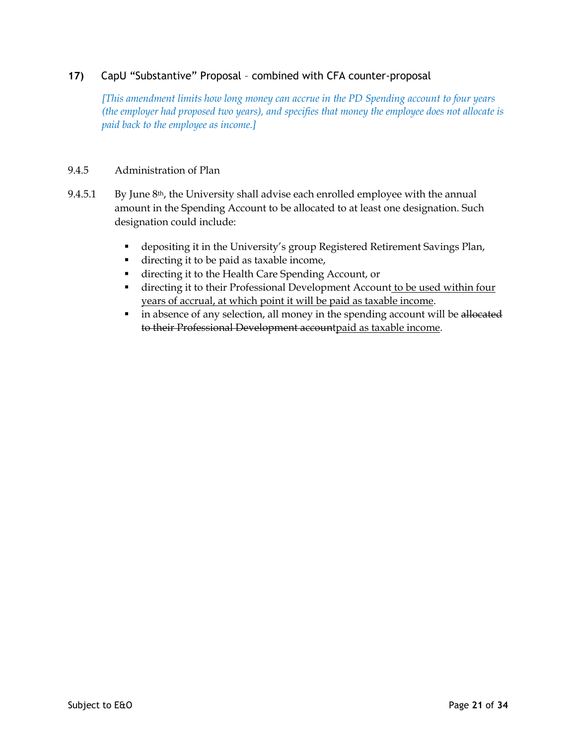# **17)** CapU "Substantive" Proposal – combined with CFA counter-proposal

*[This amendment limits how long money can accrue in the PD Spending account to four years (the employer had proposed two years), and specifies that money the employee does not allocate is paid back to the employee as income.]*

## 9.4.5 Administration of Plan

- 9.4.5.1 By June  $8<sup>th</sup>$ , the University shall advise each enrolled employee with the annual amount in the Spending Account to be allocated to at least one designation. Such designation could include:
	- depositing it in the University's group Registered Retirement Savings Plan,
	- directing it to be paid as taxable income,
	- § directing it to the Health Care Spending Account, or
	- directing it to their Professional Development Account to be used within four years of accrual, at which point it will be paid as taxable income.
	- in absence of any selection, all money in the spending account will be allocated to their Professional Development accountpaid as taxable income.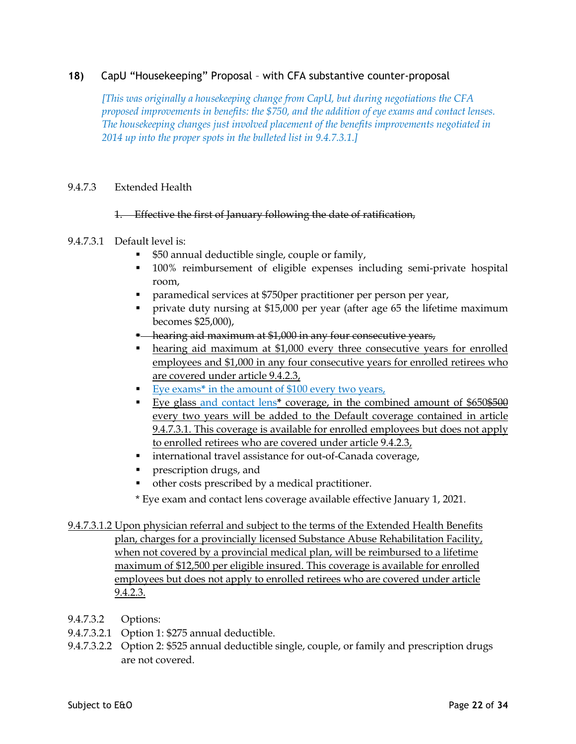# **18)** CapU "Housekeeping" Proposal – with CFA substantive counter-proposal

*[This was originally a housekeeping change from CapU, but during negotiations the CFA proposed improvements in benefits: the \$750, and the addition of eye exams and contact lenses. The housekeeping changes just involved placement of the benefits improvements negotiated in 2014 up into the proper spots in the bulleted list in 9.4.7.3.1.]*

### 9.4.7.3 Extended Health

#### 1. Effective the first of January following the date of ratification,

### 9.4.7.3.1 Default level is:

- \$50 annual deductible single, couple or family,
- § 100% reimbursement of eligible expenses including semi-private hospital room,
- paramedical services at \$750 per practitioner per person per year,
- private duty nursing at \$15,000 per year (after age 65 the lifetime maximum becomes \$25,000),
- <sup>•</sup> hearing aid maximum at \$1,000 in any four consecutive years,
- hearing aid maximum at \$1,000 every three consecutive years for enrolled employees and \$1,000 in any four consecutive years for enrolled retirees who are covered under article 9.4.2.3,
- Eye exams<sup>\*</sup> in the amount of \$100 every two years,
- Eye glass and contact lens<sup>\*</sup> coverage, in the combined amount of \$650<del>\$500</del> every two years will be added to the Default coverage contained in article 9.4.7.3.1. This coverage is available for enrolled employees but does not apply to enrolled retirees who are covered under article 9.4.2.3,
- international travel assistance for out-of-Canada coverage,
- prescription drugs, and
- other costs prescribed by a medical practitioner.
- \* Eye exam and contact lens coverage available effective January 1, 2021.
- 9.4.7.3.1.2 Upon physician referral and subject to the terms of the Extended Health Benefits plan, charges for a provincially licensed Substance Abuse Rehabilitation Facility, when not covered by a provincial medical plan, will be reimbursed to a lifetime maximum of \$12,500 per eligible insured. This coverage is available for enrolled employees but does not apply to enrolled retirees who are covered under article 9.4.2.3.
- 9.4.7.3.2 Options:
- 9.4.7.3.2.1 Option 1: \$275 annual deductible.
- 9.4.7.3.2.2 Option 2: \$525 annual deductible single, couple, or family and prescription drugs are not covered.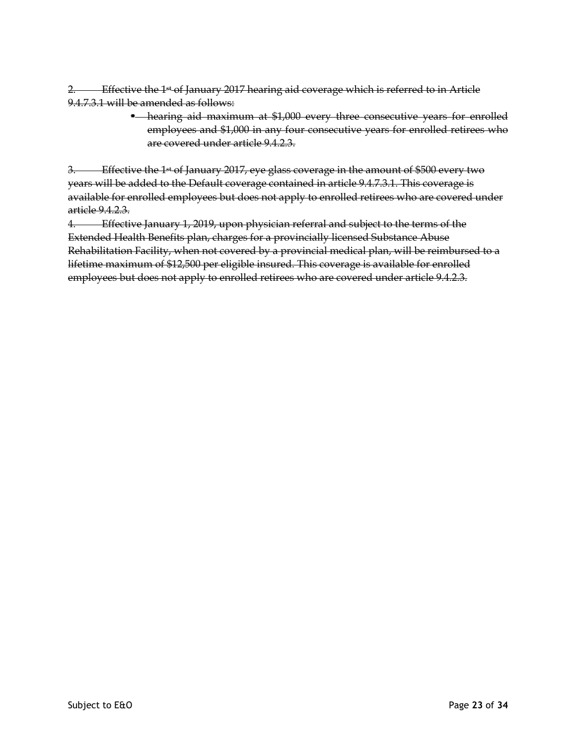2. Effective the  $1<sup>st</sup>$  of January 2017 hearing aid coverage which is referred to in Article 9.4.7.3.1 will be amended as follows:

> § hearing aid maximum at \$1,000 every three consecutive years for enrolled employees and \$1,000 in any four consecutive years for enrolled retirees who are covered under article 9.4.2.3.

3. Effective the 1<sup>st</sup> of January 2017, eye glass coverage in the amount of \$500 every two years will be added to the Default coverage contained in article 9.4.7.3.1. This coverage is available for enrolled employees but does not apply to enrolled retirees who are covered under article 9.4.2.3.

4. Effective January 1, 2019, upon physician referral and subject to the terms of the Extended Health Benefits plan, charges for a provincially licensed Substance Abuse Rehabilitation Facility, when not covered by a provincial medical plan, will be reimbursed to a lifetime maximum of \$12,500 per eligible insured. This coverage is available for enrolled employees but does not apply to enrolled retirees who are covered under article 9.4.2.3.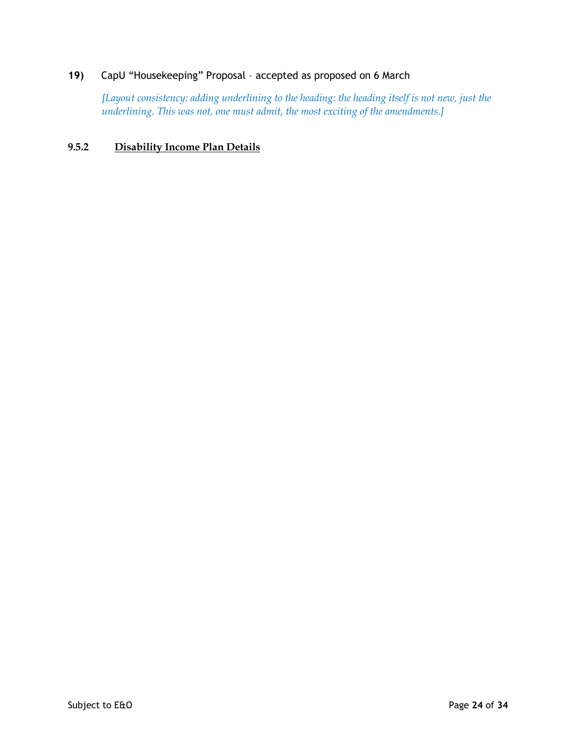*[Layout consistency: adding underlining to the heading: the heading itself is not new, just the underlining. This was not, one must admit, the most exciting of the amendments.]*

# **9.5.2 Disability Income Plan Details**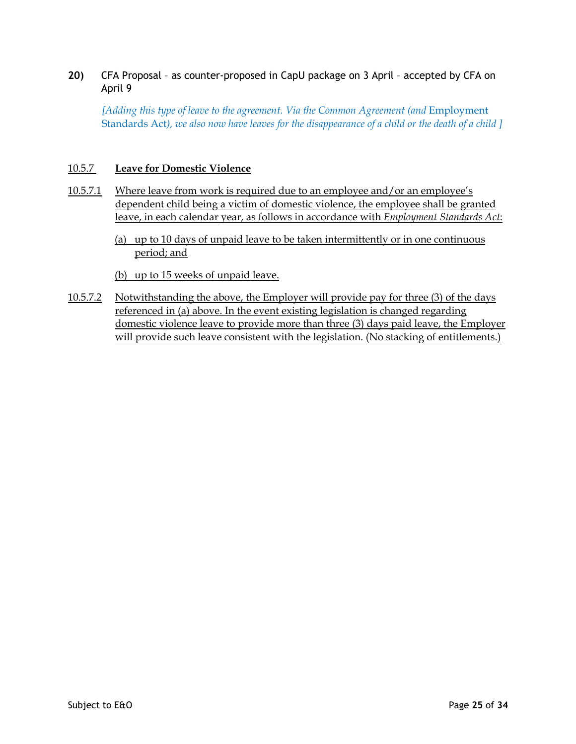**20)** CFA Proposal – as counter-proposed in CapU package on 3 April – accepted by CFA on April 9

*[Adding this type of leave to the agreement. Via the Common Agreement (and* Employment Standards Act*), we also now have leaves for the disappearance of a child or the death of a child ]*

## 10.5.7 **Leave for Domestic Violence**

- 10.5.7.1 Where leave from work is required due to an employee and/or an employee's dependent child being a victim of domestic violence, the employee shall be granted leave, in each calendar year, as follows in accordance with *Employment Standards Act*:
	- (a) up to 10 days of unpaid leave to be taken intermittently or in one continuous period; and
	- (b) up to 15 weeks of unpaid leave.
- 10.5.7.2 Notwithstanding the above, the Employer will provide pay for three (3) of the days referenced in (a) above. In the event existing legislation is changed regarding domestic violence leave to provide more than three (3) days paid leave, the Employer will provide such leave consistent with the legislation. (No stacking of entitlements.)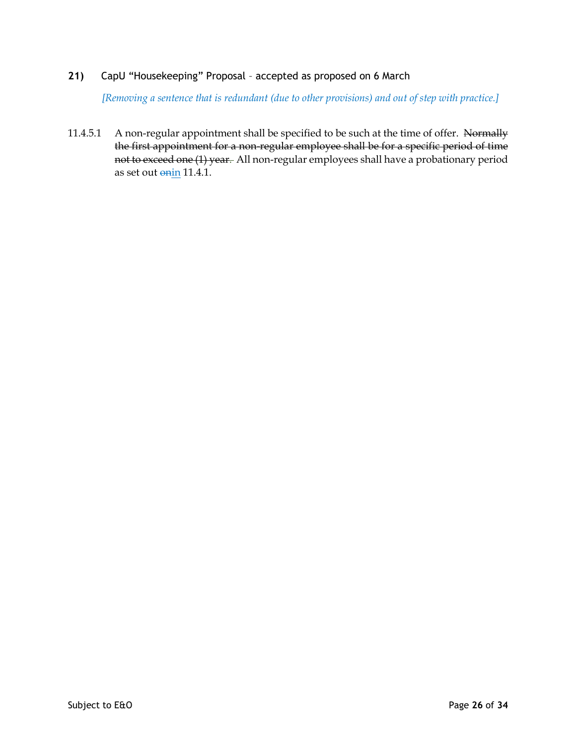*[Removing a sentence that is redundant (due to other provisions) and out of step with practice.]*

11.4.5.1 A non-regular appointment shall be specified to be such at the time of offer. Normally the first appointment for a non-regular employee shall be for a specific period of time not to exceed one (1) year. All non-regular employees shall have a probationary period as set out onin 11.4.1.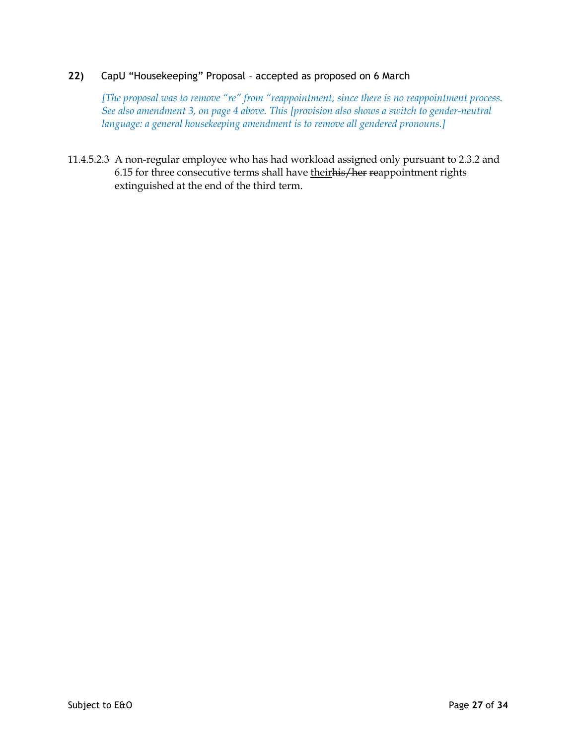*[The proposal was to remove "re" from "reappointment, since there is no reappointment process. See also amendment 3, on page 4 above. This [provision also shows a switch to gender-neutral language: a general housekeeping amendment is to remove all gendered pronouns.]*

11.4.5.2.3 A non-regular employee who has had workload assigned only pursuant to 2.3.2 and 6.15 for three consecutive terms shall have theirhis/her reappointment rights extinguished at the end of the third term.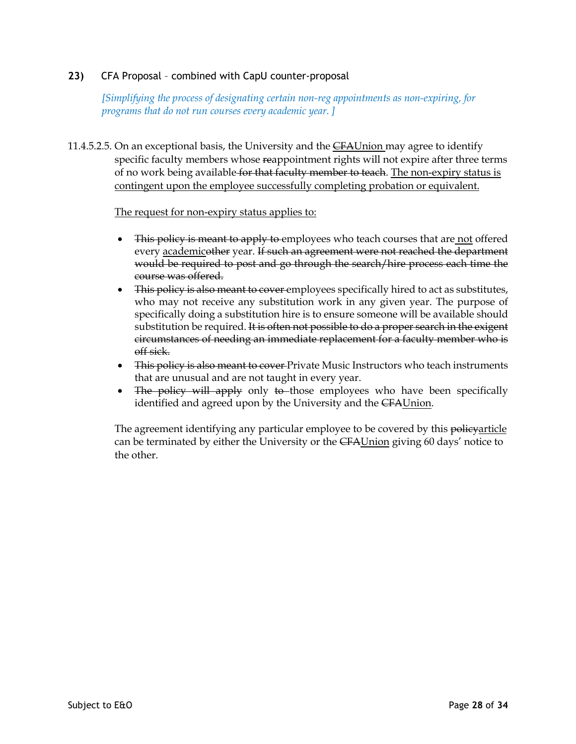# **23)** CFA Proposal – combined with CapU counter-proposal

*[Simplifying the process of designating certain non-reg appointments as non-expiring, for programs that do not run courses every academic year. ]*

11.4.5.2.5. On an exceptional basis, the University and the CFAUnion may agree to identify specific faculty members whose reappointment rights will not expire after three terms of no work being available for that faculty member to teach. The non-expiry status is contingent upon the employee successfully completing probation or equivalent.

The request for non-expiry status applies to:

- This policy is meant to apply to employees who teach courses that are not offered every academicother year. If such an agreement were not reached the department would be required to post and go through the search/hire process each time the course was offered.
- This policy is also meant to cover employees specifically hired to act as substitutes, who may not receive any substitution work in any given year. The purpose of specifically doing a substitution hire is to ensure someone will be available should substitution be required. It is often not possible to do a proper search in the exigent circumstances of needing an immediate replacement for a faculty member who is off sick.
- This policy is also meant to cover-Private Music Instructors who teach instruments that are unusual and are not taught in every year.
- The policy will apply only to those employees who have been specifically identified and agreed upon by the University and the CFAUnion.

The agreement identifying any particular employee to be covered by this policyarticle can be terminated by either the University or the CFAUnion giving 60 days' notice to the other.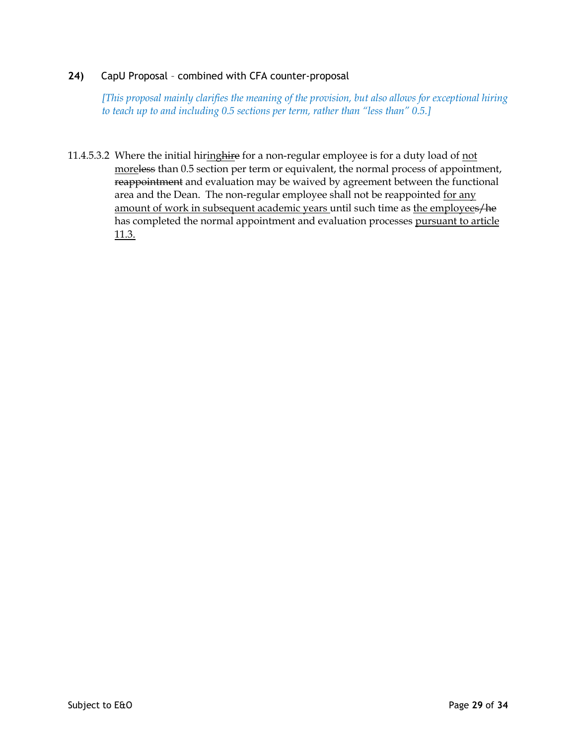# **24)** CapU Proposal – combined with CFA counter-proposal

*[This proposal mainly clarifies the meaning of the provision, but also allows for exceptional hiring to teach up to and including 0.5 sections per term, rather than "less than" 0.5.]*

11.4.5.3.2 Where the initial hiringhire for a non-regular employee is for a duty load of not moreless than 0.5 section per term or equivalent, the normal process of appointment, reappointment and evaluation may be waived by agreement between the functional area and the Dean. The non-regular employee shall not be reappointed for any amount of work in subsequent academic years until such time as the employees/he has completed the normal appointment and evaluation processes pursuant to article 11.3.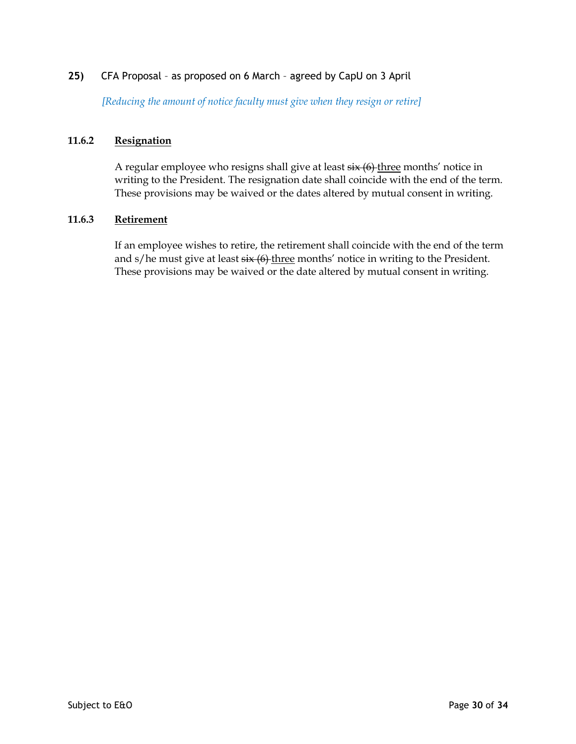# **25)** CFA Proposal – as proposed on 6 March – agreed by CapU on 3 April

*[Reducing the amount of notice faculty must give when they resign or retire]*

## **11.6.2 Resignation**

A regular employee who resigns shall give at least  $\frac{1}{x}$  (6) three months' notice in writing to the President. The resignation date shall coincide with the end of the term. These provisions may be waived or the dates altered by mutual consent in writing.

#### **11.6.3 Retirement**

If an employee wishes to retire, the retirement shall coincide with the end of the term and  $s/h$ e must give at least  $s\ddot{x}$  (6) three months' notice in writing to the President. These provisions may be waived or the date altered by mutual consent in writing.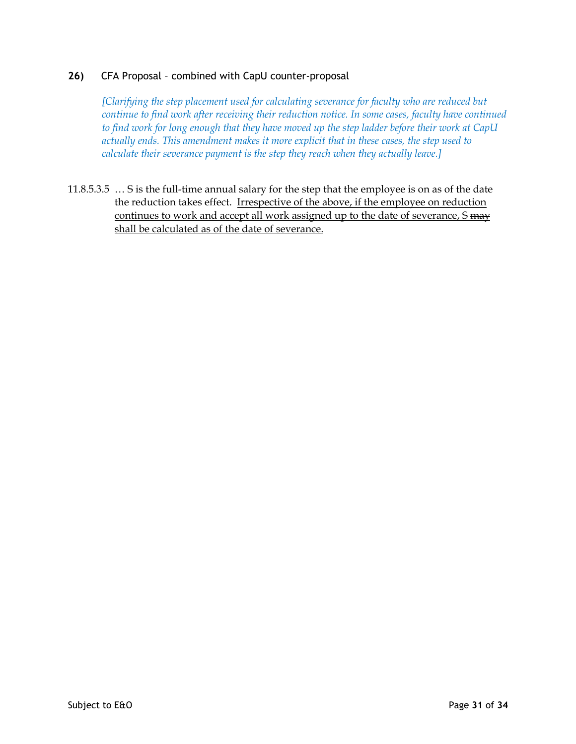# **26)** CFA Proposal – combined with CapU counter-proposal

*[Clarifying the step placement used for calculating severance for faculty who are reduced but continue to find work after receiving their reduction notice. In some cases, faculty have continued to find work for long enough that they have moved up the step ladder before their work at CapU actually ends. This amendment makes it more explicit that in these cases, the step used to calculate their severance payment is the step they reach when they actually leave.]*

11.8.5.3.5 … S is the full-time annual salary for the step that the employee is on as of the date the reduction takes effect. Irrespective of the above, if the employee on reduction continues to work and accept all work assigned up to the date of severance, S may shall be calculated as of the date of severance.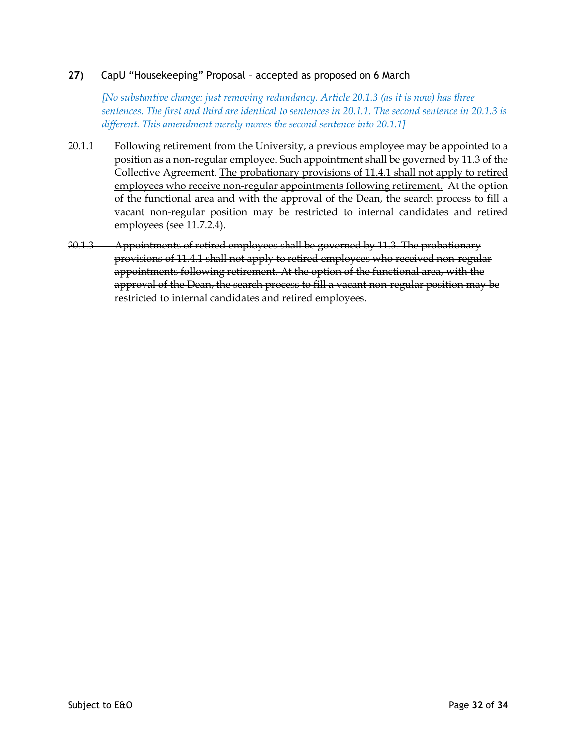*[No substantive change: just removing redundancy. Article 20.1.3 (as it is now) has three sentences. The first and third are identical to sentences in 20.1.1. The second sentence in 20.1.3 is different. This amendment merely moves the second sentence into 20.1.1]*

- 20.1.1 Following retirement from the University, a previous employee may be appointed to a position as a non-regular employee. Such appointment shall be governed by 11.3 of the Collective Agreement. The probationary provisions of 11.4.1 shall not apply to retired employees who receive non-regular appointments following retirement. At the option of the functional area and with the approval of the Dean, the search process to fill a vacant non-regular position may be restricted to internal candidates and retired employees (see 11.7.2.4).
- 20.1.3 Appointments of retired employees shall be governed by 11.3. The probationary provisions of 11.4.1 shall not apply to retired employees who received non-regular appointments following retirement. At the option of the functional area, with the approval of the Dean, the search process to fill a vacant non-regular position may be restricted to internal candidates and retired employees.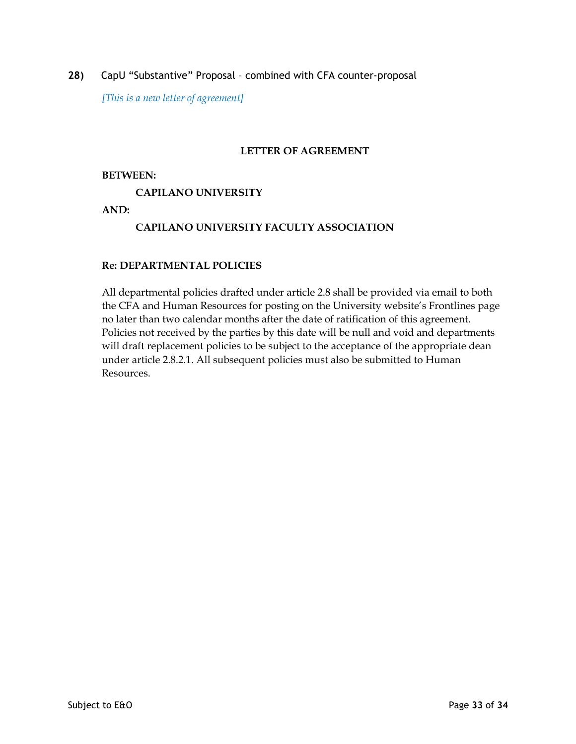**28)** CapU "Substantive" Proposal – combined with CFA counter-proposal

*[This is a new letter of agreement]*

## **LETTER OF AGREEMENT**

#### **BETWEEN:**

### **CAPILANO UNIVERSITY**

**AND:**

# **CAPILANO UNIVERSITY FACULTY ASSOCIATION**

#### **Re: DEPARTMENTAL POLICIES**

All departmental policies drafted under article 2.8 shall be provided via email to both the CFA and Human Resources for posting on the University website's Frontlines page no later than two calendar months after the date of ratification of this agreement. Policies not received by the parties by this date will be null and void and departments will draft replacement policies to be subject to the acceptance of the appropriate dean under article 2.8.2.1. All subsequent policies must also be submitted to Human Resources.